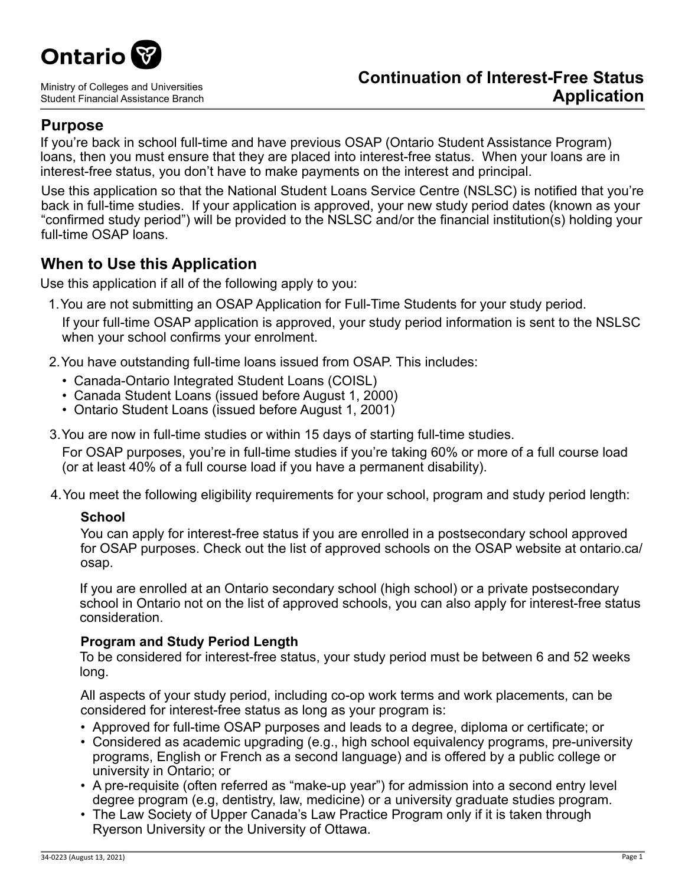

Ministry of Colleges and Universities Student Financial Assistance Branch

# **Purpose**

If you're back in school full-time and have previous OSAP (Ontario Student Assistance Program) loans, then you must ensure that they are placed into interest-free status. When your loans are in interest-free status, you don't have to make payments on the interest and principal.

Use this application so that the National Student Loans Service Centre (NSLSC) is notified that you're back in full-time studies. If your application is approved, your new study period dates (known as your "confirmed study period") will be provided to the NSLSC and/or the financial institution(s) holding your full-time OSAP loans.

# **When to Use this Application**

Use this application if all of the following apply to you:

- 1.You are not submitting an OSAP Application for Full-Time Students for your study period. If your full-time OSAP application is approved, your study period information is sent to the NSLSC when your school confirms your enrolment.
- 2.You have outstanding full-time loans issued from OSAP. This includes:
	- Canada-Ontario Integrated Student Loans (COISL)
	- Canada Student Loans (issued before August 1, 2000)
	- Ontario Student Loans (issued before August 1, 2001)
- 3.You are now in full-time studies or within 15 days of starting full-time studies.

For OSAP purposes, you're in full-time studies if you're taking 60% or more of a full course load (or at least 40% of a full course load if you have a permanent disability).

4.You meet the following eligibility requirements for your school, program and study period length:

## **School**

You can apply for interest-free status if you are enrolled in a postsecondary school approved for OSAP purposes. Check out the list of approved schools on the OSAP website at ontario.ca/ osap.

If you are enrolled at an Ontario secondary school (high school) or a private postsecondary school in Ontario not on the list of approved schools, you can also apply for interest-free status consideration.

## **Program and Study Period Length**

To be considered for interest-free status, your study period must be between 6 and 52 weeks long.

All aspects of your study period, including co-op work terms and work placements, can be considered for interest-free status as long as your program is:

- Approved for full-time OSAP purposes and leads to a degree, diploma or certificate; or
- Considered as academic upgrading (e.g., high school equivalency programs, pre-university programs, English or French as a second language) and is offered by a public college or university in Ontario; or
- A pre-requisite (often referred as "make-up year") for admission into a second entry level degree program (e.g, dentistry, law, medicine) or a university graduate studies program.
- The Law Society of Upper Canada's Law Practice Program only if it is taken through Ryerson University or the University of Ottawa.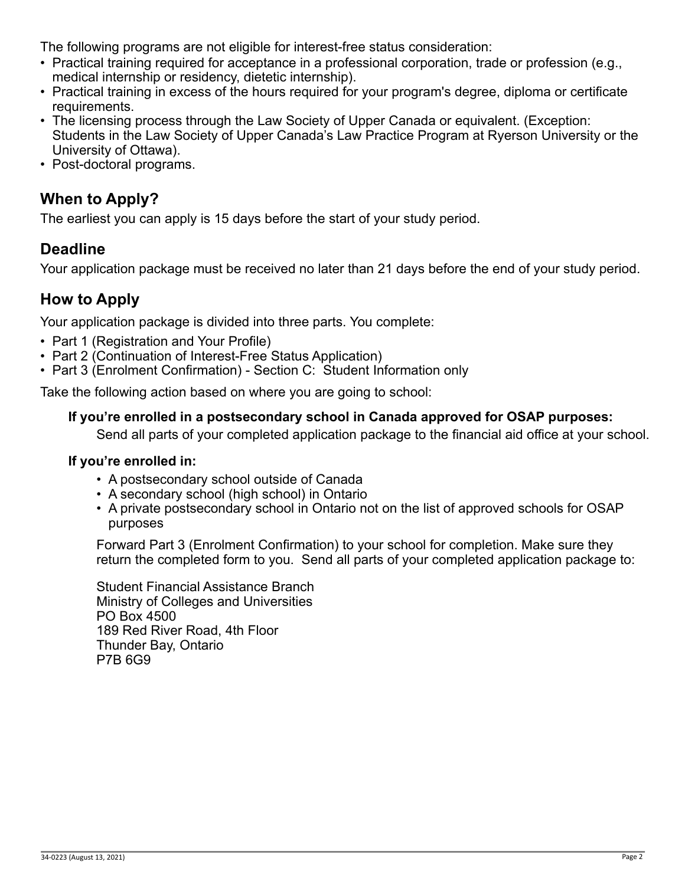The following programs are not eligible for interest-free status consideration:

- Practical training required for acceptance in a professional corporation, trade or profession (e.g., medical internship or residency, dietetic internship).
- Practical training in excess of the hours required for your program's degree, diploma or certificate requirements.
- The licensing process through the Law Society of Upper Canada or equivalent. (Exception: Students in the Law Society of Upper Canada's Law Practice Program at Ryerson University or the University of Ottawa).
- Post-doctoral programs.

# **When to Apply?**

The earliest you can apply is 15 days before the start of your study period.

# **Deadline**

Your application package must be received no later than 21 days before the end of your study period.

# **How to Apply**

Your application package is divided into three parts. You complete:

- Part 1 (Registration and Your Profile)
- Part 2 (Continuation of Interest-Free Status Application)
- Part 3 (Enrolment Confirmation) Section C: Student Information only

Take the following action based on where you are going to school:

## **If you're enrolled in a postsecondary school in Canada approved for OSAP purposes:**

Send all parts of your completed application package to the financial aid office at your school.

#### **If you're enrolled in:**

- A postsecondary school outside of Canada
- A secondary school (high school) in Ontario
- A private postsecondary school in Ontario not on the list of approved schools for OSAP purposes

Forward Part 3 (Enrolment Confirmation) to your school for completion. Make sure they return the completed form to you. Send all parts of your completed application package to:

Student Financial Assistance Branch Ministry of Colleges and Universities PO Box 4500 189 Red River Road, 4th Floor Thunder Bay, Ontario P7B 6G9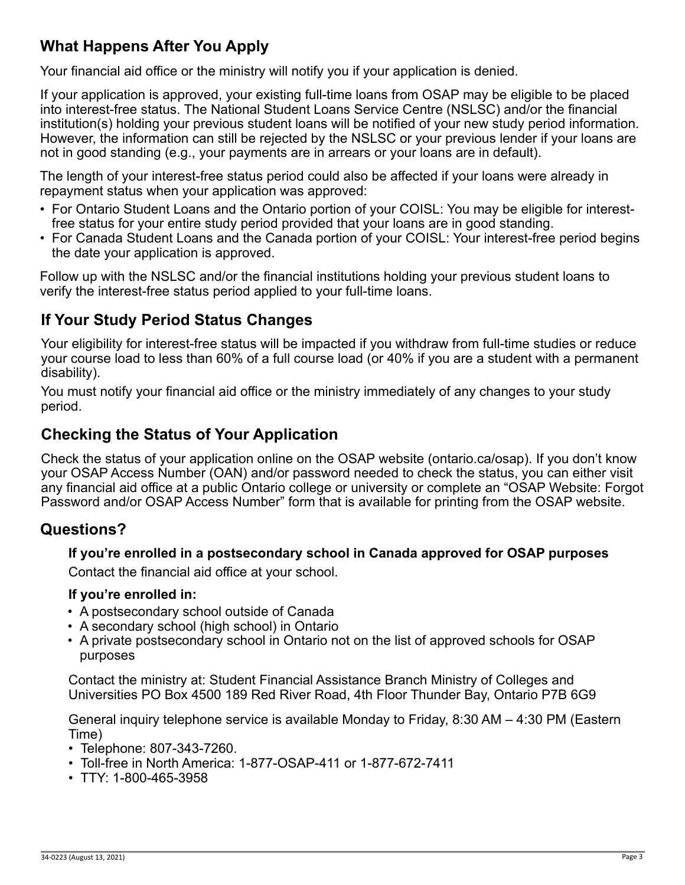# **What Happens After You Apply**

Your financial aid office or the ministry will notify you if your application is denied.

If your application is approved, your existing full-time loans from OSAP may be eligible to be placed into interest-free status. The National Student Loans Service Centre (NSLSC) and/or the financial institution(s) holding your previous student loans will be notified of your new study period information. However, the information can still be rejected by the NSLSC or your previous lender if your loans are not in good standing (e.g., your payments are in arrears or your loans are in default).

The length of your interest-free status period could also be affected if your loans were already in repayment status when your application was approved:

- For Ontario Student Loans and the Ontario portion of your COISL: You may be eligible for interestfree status for your entire study period provided that your loans are in good standing.
- For Canada Student Loans and the Canada portion of your COISL: Your interest-free period begins the date your application is approved.

Follow up with the NSLSC and/or the financial institutions holding your previous student loans to verify the interest-free status period applied to your full-time loans.

# **If Your Study Period Status Changes**

Your eligibility for interest-free status will be impacted if you withdraw from full-time studies or reduce your course load to less than 60% of a full course load (or 40% if you are a student with a permanent disability).

You must notify your financial aid office or the ministry immediately of any changes to your study period.

# **Checking the Status of Your Application**

Check the status of your application online on the OSAP website (ontario.ca/osap). If you don't know your OSAP Access Number (OAN) and/or password needed to check the status, you can either visit any financial aid office at a public Ontario college or university or complete an "OSAP Website: Forgot Password and/or OSAP Access Number" form that is available for printing from the OSAP website.

## **Questions?**

## **If you're enrolled in a postsecondary school in Canada approved for OSAP purposes**

Contact the financial aid office at your school.

#### **If you're enrolled in:**

- A postsecondary school outside of Canada
- A secondary school (high school) in Ontario
- A private postsecondary school in Ontario not on the list of approved schools for OSAP purposes

Contact the ministry at: Student Financial Assistance Branch Ministry of Colleges and Universities PO Box 4500 189 Red River Road, 4th Floor Thunder Bay, Ontario P7B 6G9

General inquiry telephone service is available Monday to Friday, 8:30 AM – 4:30 PM (Eastern Time)

- Telephone: 807-343-7260.
- Toll-free in North America: 1-877-OSAP-411 or 1-877-672-7411
- TTY: 1-800-465-3958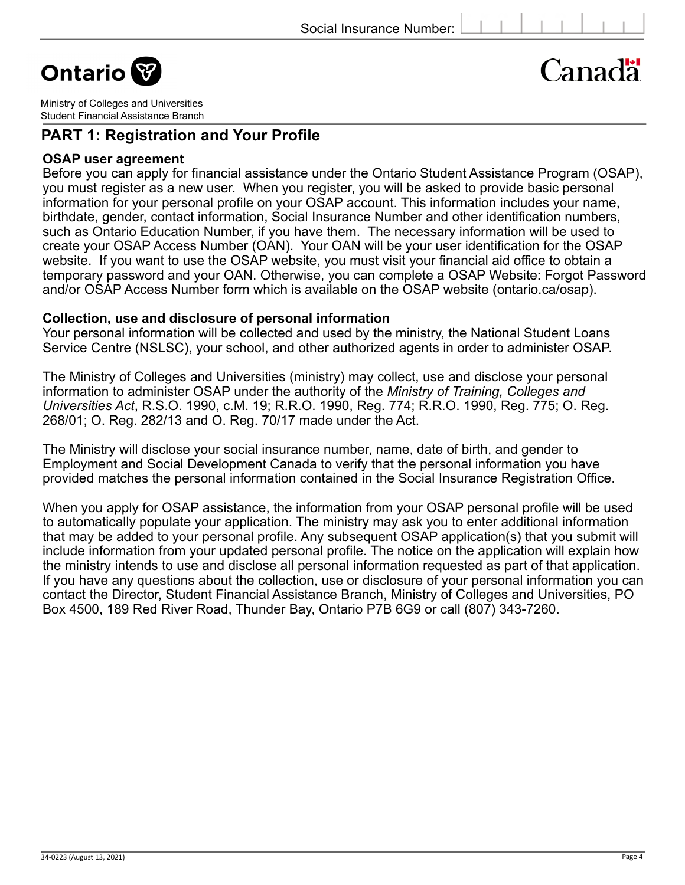**Ontario** 

# Canadä

Ministry of Colleges and Universities Student Financial Assistance Branch

## **PART 1: Registration and Your Profile**

#### **OSAP user agreement**

Before you can apply for financial assistance under the Ontario Student Assistance Program (OSAP), you must register as a new user. When you register, you will be asked to provide basic personal information for your personal profile on your OSAP account. This information includes your name, birthdate, gender, contact information, Social Insurance Number and other identification numbers, such as Ontario Education Number, if you have them. The necessary information will be used to create your OSAP Access Number (OAN). Your OAN will be your user identification for the OSAP website. If you want to use the OSAP website, you must visit your financial aid office to obtain a temporary password and your OAN. Otherwise, you can complete a OSAP Website: Forgot Password and/or OSAP Access Number form which is available on the OSAP website (ontario.ca/osap).

#### **Collection, use and disclosure of personal information**

Your personal information will be collected and used by the ministry, the National Student Loans Service Centre (NSLSC), your school, and other authorized agents in order to administer OSAP.

The Ministry of Colleges and Universities (ministry) may collect, use and disclose your personal information to administer OSAP under the authority of the *Ministry of Training, Colleges and Universities Act*, R.S.O. 1990, c.M. 19; R.R.O. 1990, Reg. 774; R.R.O. 1990, Reg. 775; O. Reg. 268/01; O. Reg. 282/13 and O. Reg. 70/17 made under the Act.

The Ministry will disclose your social insurance number, name, date of birth, and gender to Employment and Social Development Canada to verify that the personal information you have provided matches the personal information contained in the Social Insurance Registration Office.

When you apply for OSAP assistance, the information from your OSAP personal profile will be used to automatically populate your application. The ministry may ask you to enter additional information that may be added to your personal profile. Any subsequent OSAP application(s) that you submit will include information from your updated personal profile. The notice on the application will explain how the ministry intends to use and disclose all personal information requested as part of that application. If you have any questions about the collection, use or disclosure of your personal information you can contact the Director, Student Financial Assistance Branch, Ministry of Colleges and Universities, PO Box 4500, 189 Red River Road, Thunder Bay, Ontario P7B 6G9 or call (807) 343-7260.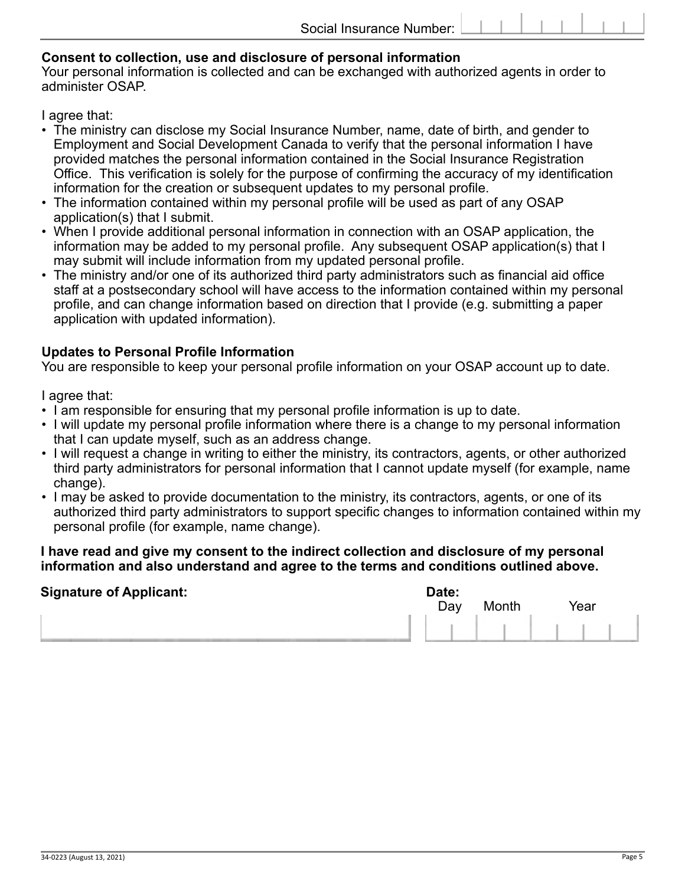#### **Consent to collection, use and disclosure of personal information**

Your personal information is collected and can be exchanged with authorized agents in order to administer OSAP.

I agree that:

- The ministry can disclose my Social Insurance Number, name, date of birth, and gender to Employment and Social Development Canada to verify that the personal information I have provided matches the personal information contained in the Social Insurance Registration Office. This verification is solely for the purpose of confirming the accuracy of my identification information for the creation or subsequent updates to my personal profile.
- The information contained within my personal profile will be used as part of any OSAP application(s) that I submit.
- When I provide additional personal information in connection with an OSAP application, the information may be added to my personal profile. Any subsequent OSAP application(s) that I may submit will include information from my updated personal profile.
- The ministry and/or one of its authorized third party administrators such as financial aid office staff at a postsecondary school will have access to the information contained within my personal profile, and can change information based on direction that I provide (e.g. submitting a paper application with updated information).

### **Updates to Personal Profile Information**

You are responsible to keep your personal profile information on your OSAP account up to date.

I agree that:

- I am responsible for ensuring that my personal profile information is up to date.
- I will update my personal profile information where there is a change to my personal information that I can update myself, such as an address change.
- I will request a change in writing to either the ministry, its contractors, agents, or other authorized third party administrators for personal information that I cannot update myself (for example, name change).
- I may be asked to provide documentation to the ministry, its contractors, agents, or one of its authorized third party administrators to support specific changes to information contained within my personal profile (for example, name change).

#### **I have read and give my consent to the indirect collection and disclosure of my personal information and also understand and agree to the terms and conditions outlined above.**

| <b>Signature of Applicant:</b> | Date:<br>Day | Month | Year |
|--------------------------------|--------------|-------|------|
|                                |              |       |      |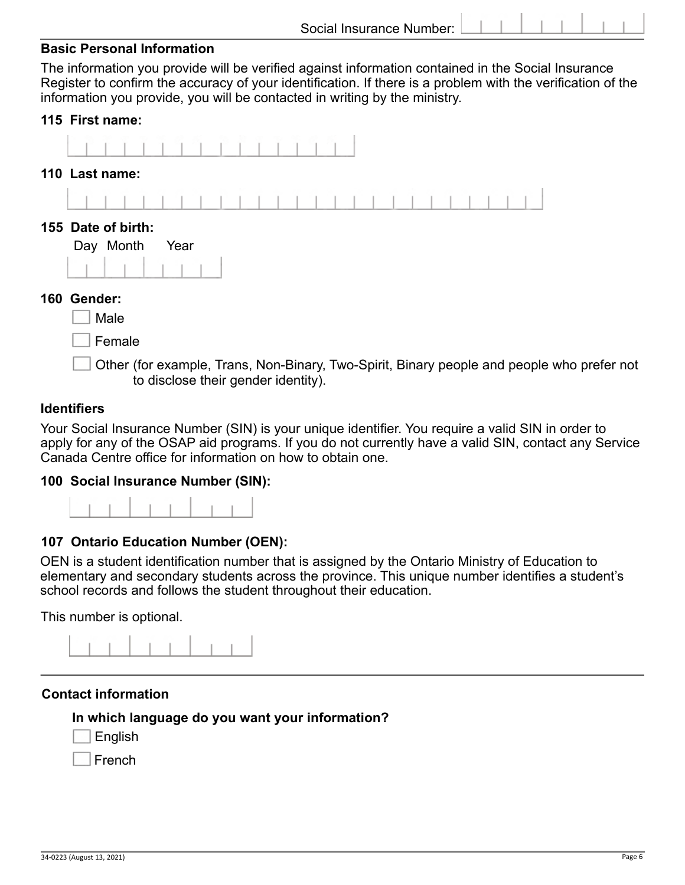The information you provide will be verified against information contained in the Social Insurance Register to confirm the accuracy of your identification. If there is a problem with the verification of the information you provide, you will be contacted in writing by the ministry.

#### **115 First name:**



Female.

Other (for example, Trans, Non-Binary, Two-Spirit, Binary people and people who prefer not to disclose their gender identity).

#### **Identifiers.**

Your Social Insurance Number (SIN) is your unique identifier. You require a valid SIN in order to apply for any of the OSAP aid programs. If you do not currently have a valid SIN, contact any Service Canada Centre office for information on how to obtain one.

#### **100 Social Insurance Number (SIN):**



#### **107 Ontario Education Number (OEN):**

OEN is a student identification number that is assigned by the Ontario Ministry of Education to elementary and secondary students across the province. This unique number identifies a student's school records and follows the student throughout their education.

This number is optional.



#### **Contact information**

#### **In which language do you want your information?**

**English** 

French.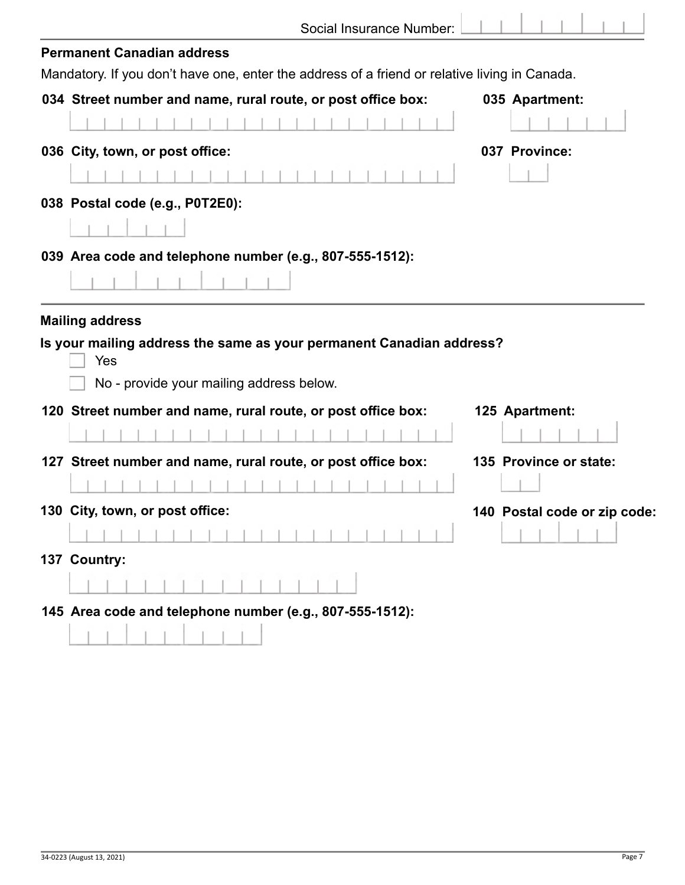| Social Insurance Number: |  |
|--------------------------|--|
|                          |  |

ï

| <b>Permanent Canadian address</b>                                                                                       |                              |
|-------------------------------------------------------------------------------------------------------------------------|------------------------------|
| Mandatory. If you don't have one, enter the address of a friend or relative living in Canada.                           |                              |
| 034 Street number and name, rural route, or post office box:                                                            | 035 Apartment:               |
|                                                                                                                         |                              |
| 036 City, town, or post office:                                                                                         | 037 Province:                |
|                                                                                                                         |                              |
| 038 Postal code (e.g., P0T2E0):                                                                                         |                              |
|                                                                                                                         |                              |
| 039 Area code and telephone number (e.g., 807-555-1512):                                                                |                              |
|                                                                                                                         |                              |
| Is your mailing address the same as your permanent Canadian address?<br>Yes<br>No - provide your mailing address below. |                              |
| 120 Street number and name, rural route, or post office box:                                                            | 125 Apartment:               |
|                                                                                                                         |                              |
| 127 Street number and name, rural route, or post office box:                                                            | 135 Province or state:       |
|                                                                                                                         |                              |
| 130 City, town, or post office:                                                                                         | 140 Postal code or zip code: |
|                                                                                                                         |                              |
| 137 Country:                                                                                                            |                              |
|                                                                                                                         |                              |
| 145 Area code and telephone number (e.g., 807-555-1512):                                                                |                              |
|                                                                                                                         |                              |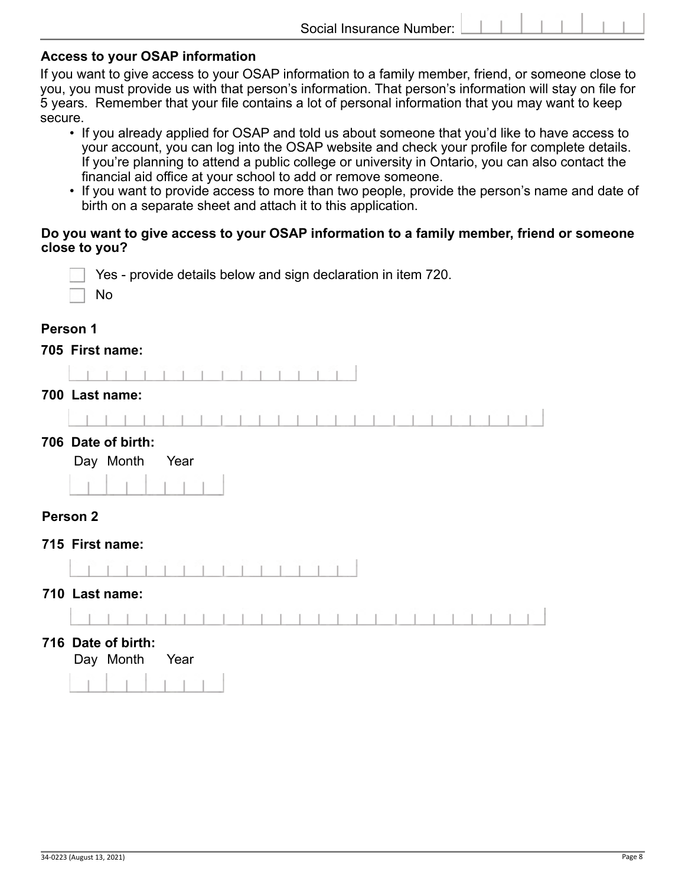#### **Access to your OSAP information**

If you want to give access to your OSAP information to a family member, friend, or someone close to you, you must provide us with that person's information. That person's information will stay on file for 5 years. Remember that your file contains a lot of personal information that you may want to keep secure.

- If you already applied for OSAP and told us about someone that you'd like to have access to your account, you can log into the OSAP website and check your profile for complete details. If you're planning to attend a public college or university in Ontario, you can also contact the financial aid office at your school to add or remove someone.
- If you want to provide access to more than two people, provide the person's name and date of birth on a separate sheet and attach it to this application.

#### **Do you want to give access to your OSAP information to a family member, friend or someone close to you?**

|                     | Yes - provide details below and sign declaration in item 720.<br>No |
|---------------------|---------------------------------------------------------------------|
| Person 1            |                                                                     |
|                     | 705 First name:                                                     |
|                     |                                                                     |
|                     | 700 Last name:                                                      |
|                     |                                                                     |
|                     | 706 Date of birth:<br>Day Month<br>Year                             |
| Person <sub>2</sub> |                                                                     |
|                     | 715 First name:                                                     |
|                     | 710 Last name:                                                      |
|                     |                                                                     |
|                     | 716 Date of birth:<br>Day Month<br>Year                             |
|                     |                                                                     |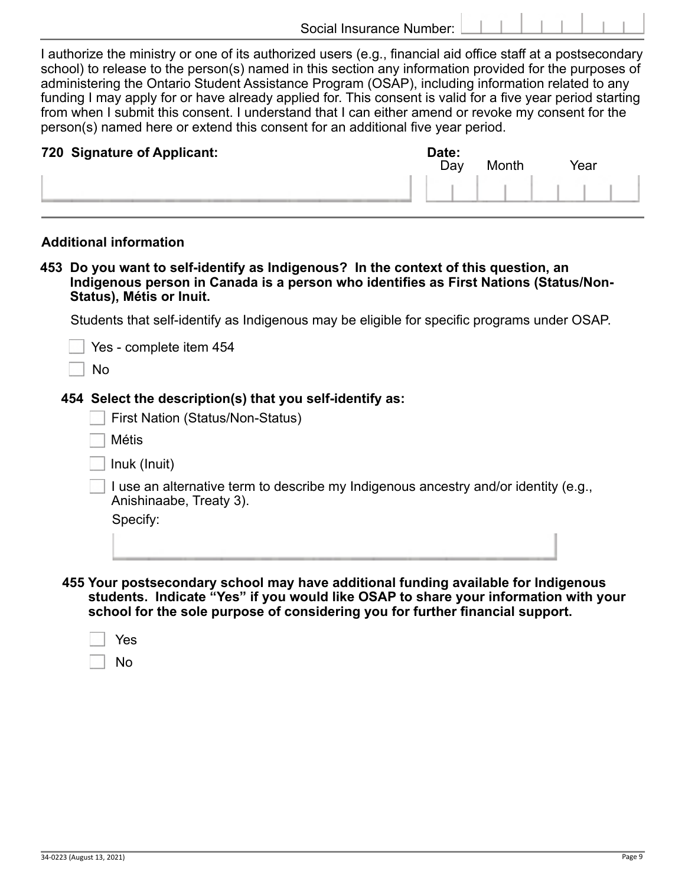I authorize the ministry or one of its authorized users (e.g., financial aid office staff at a postsecondary school) to release to the person(s) named in this section any information provided for the purposes of administering the Ontario Student Assistance Program (OSAP), including information related to any funding I may apply for or have already applied for. This consent is valid for a five year period starting from when I submit this consent. I understand that I can either amend or revoke my consent for the person(s) named here or extend this consent for an additional five year period.

| 720 Signature of Applicant: | Date:<br>Day | Month | Year |  |
|-----------------------------|--------------|-------|------|--|
|                             |              |       |      |  |

## **Additional information.**

**453 Do you want to self-identify as Indigenous? In the context of this question, an Indigenous person in Canada is a person who identifies as First Nations (Status/Non- Status), Métis or Inuit.**

Students that self-identify as Indigenous may be eligible for specific programs under OSAP.

| Yes - complete item 454<br>No                                                                                  |
|----------------------------------------------------------------------------------------------------------------|
| 454 Select the description(s) that you self-identify as:                                                       |
| <b>First Nation (Status/Non-Status)</b>                                                                        |
| <b>Métis</b>                                                                                                   |
| Inuk (Inuit)                                                                                                   |
| I use an alternative term to describe my Indigenous ancestry and/or identity (e.g.,<br>Anishinaabe, Treaty 3). |
| Specify:                                                                                                       |
|                                                                                                                |
|                                                                                                                |

**455 Your postsecondary school may have additional funding available for Indigenous students. Indicate "Yes" if you would like OSAP to share your information with your school for the sole purpose of considering you for further financial support.**

|--|--|

No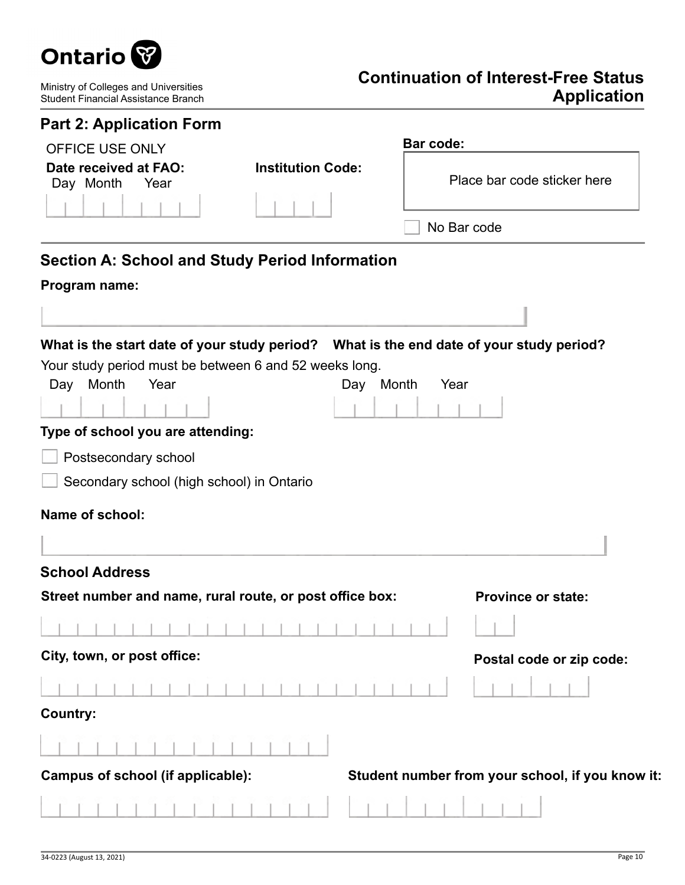

Ministry of Colleges and Universities Student Financial Assistance Branch

# **Continuation of Interest-Free Status Application**

| <b>Part 2: Application Form</b>                          |                          |                                                                                         |
|----------------------------------------------------------|--------------------------|-----------------------------------------------------------------------------------------|
| <b>OFFICE USE ONLY</b>                                   |                          | <b>Bar code:</b>                                                                        |
| Date received at FAO:<br>Day Month<br>Year               | <b>Institution Code:</b> | Place bar code sticker here                                                             |
|                                                          |                          | No Bar code                                                                             |
| <b>Section A: School and Study Period Information</b>    |                          |                                                                                         |
| Program name:                                            |                          |                                                                                         |
|                                                          |                          |                                                                                         |
|                                                          |                          |                                                                                         |
| Your study period must be between 6 and 52 weeks long.   |                          | What is the start date of your study period? What is the end date of your study period? |
| Month<br>Year<br>Day                                     | Day Month                | Year                                                                                    |
|                                                          |                          |                                                                                         |
| Type of school you are attending:                        |                          |                                                                                         |
| Postsecondary school                                     |                          |                                                                                         |
| Secondary school (high school) in Ontario                |                          |                                                                                         |
| <b>Name of school:</b>                                   |                          |                                                                                         |
|                                                          |                          |                                                                                         |
|                                                          |                          |                                                                                         |
| <b>School Address</b>                                    |                          |                                                                                         |
| Street number and name, rural route, or post office box: |                          | <b>Province or state:</b>                                                               |
|                                                          |                          | and the state of the state of the                                                       |
| City, town, or post office:                              |                          | Postal code or zip code:                                                                |
|                                                          |                          |                                                                                         |
| <b>Country:</b>                                          |                          |                                                                                         |
|                                                          |                          |                                                                                         |
| Campus of school (if applicable):                        |                          | Student number from your school, if you know it:                                        |
|                                                          |                          |                                                                                         |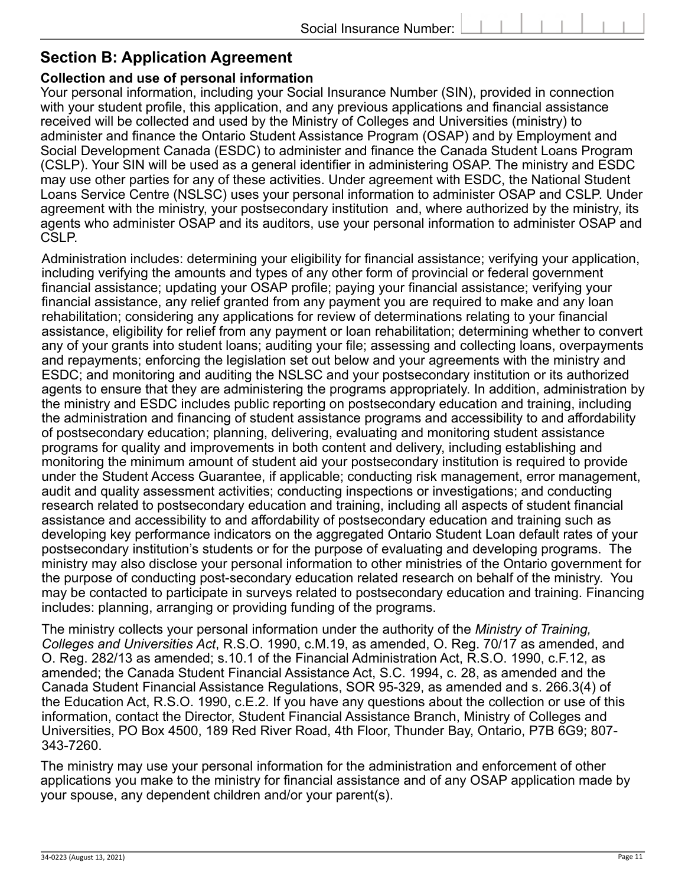## **Section B: Application Agreement**

## **Collection and use of personal information**

Your personal information, including your Social Insurance Number (SIN), provided in connection with your student profile, this application, and any previous applications and financial assistance received will be collected and used by the Ministry of Colleges and Universities (ministry) to administer and finance the Ontario Student Assistance Program (OSAP) and by Employment and Social Development Canada (ESDC) to administer and finance the Canada Student Loans Program (CSLP). Your SIN will be used as a general identifier in administering OSAP. The ministry and ESDC may use other parties for any of these activities. Under agreement with ESDC, the National Student Loans Service Centre (NSLSC) uses your personal information to administer OSAP and CSLP. Under agreement with the ministry, your postsecondary institution and, where authorized by the ministry, its agents who administer OSAP and its auditors, use your personal information to administer OSAP and CSLP.

Administration includes: determining your eligibility for financial assistance; verifying your application, including verifying the amounts and types of any other form of provincial or federal government financial assistance; updating your OSAP profile; paying your financial assistance; verifying your financial assistance, any relief granted from any payment you are required to make and any loan rehabilitation; considering any applications for review of determinations relating to your financial assistance, eligibility for relief from any payment or loan rehabilitation; determining whether to convert any of your grants into student loans; auditing your file; assessing and collecting loans, overpayments and repayments; enforcing the legislation set out below and your agreements with the ministry and ESDC; and monitoring and auditing the NSLSC and your postsecondary institution or its authorized agents to ensure that they are administering the programs appropriately. In addition, administration by the ministry and ESDC includes public reporting on postsecondary education and training, including the administration and financing of student assistance programs and accessibility to and affordability of postsecondary education; planning, delivering, evaluating and monitoring student assistance programs for quality and improvements in both content and delivery, including establishing and monitoring the minimum amount of student aid your postsecondary institution is required to provide under the Student Access Guarantee, if applicable; conducting risk management, error management, audit and quality assessment activities; conducting inspections or investigations; and conducting research related to postsecondary education and training, including all aspects of student financial assistance and accessibility to and affordability of postsecondary education and training such as developing key performance indicators on the aggregated Ontario Student Loan default rates of your postsecondary institution's students or for the purpose of evaluating and developing programs. The ministry may also disclose your personal information to other ministries of the Ontario government for the purpose of conducting post-secondary education related research on behalf of the ministry. You may be contacted to participate in surveys related to postsecondary education and training. Financing includes: planning, arranging or providing funding of the programs.

The ministry collects your personal information under the authority of the *Ministry of Training, Colleges and Universities Act*, R.S.O. 1990, c.M.19, as amended, O. Reg. 70/17 as amended, and O. Reg. 282/13 as amended; s.10.1 of the Financial Administration Act, R.S.O. 1990, c.F.12, as amended; the Canada Student Financial Assistance Act, S.C. 1994, c. 28, as amended and the Canada Student Financial Assistance Regulations, SOR 95-329, as amended and s. 266.3(4) of the Education Act, R.S.O. 1990, c.E.2. If you have any questions about the collection or use of this information, contact the Director, Student Financial Assistance Branch, Ministry of Colleges and Universities, PO Box 4500, 189 Red River Road, 4th Floor, Thunder Bay, Ontario, P7B 6G9; 807- 343-7260.

The ministry may use your personal information for the administration and enforcement of other applications you make to the ministry for financial assistance and of any OSAP application made by your spouse, any dependent children and/or your parent(s).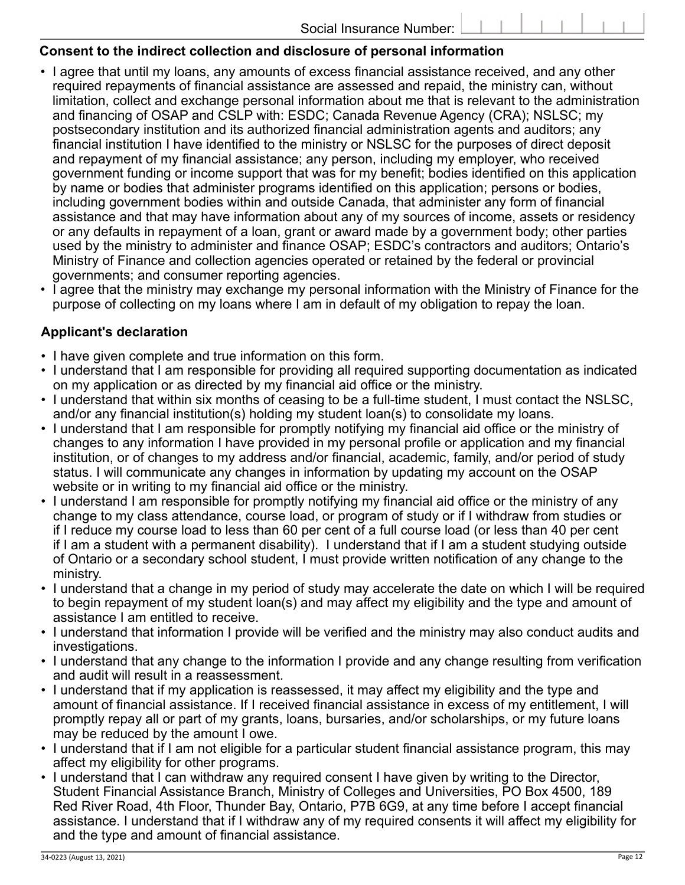## **Consent to the indirect collection and disclosure of personal information**

- I agree that until my loans, any amounts of excess financial assistance received, and any other required repayments of financial assistance are assessed and repaid, the ministry can, without limitation, collect and exchange personal information about me that is relevant to the administration and financing of OSAP and CSLP with: ESDC; Canada Revenue Agency (CRA); NSLSC; my postsecondary institution and its authorized financial administration agents and auditors; any financial institution I have identified to the ministry or NSLSC for the purposes of direct deposit and repayment of my financial assistance; any person, including my employer, who received government funding or income support that was for my benefit; bodies identified on this application by name or bodies that administer programs identified on this application; persons or bodies, including government bodies within and outside Canada, that administer any form of financial assistance and that may have information about any of my sources of income, assets or residency or any defaults in repayment of a loan, grant or award made by a government body; other parties used by the ministry to administer and finance OSAP; ESDC's contractors and auditors; Ontario's Ministry of Finance and collection agencies operated or retained by the federal or provincial governments; and consumer reporting agencies.
- I agree that the ministry may exchange my personal information with the Ministry of Finance for the purpose of collecting on my loans where I am in default of my obligation to repay the loan.

## **Applicant's declaration**

- I have given complete and true information on this form.
- I understand that I am responsible for providing all required supporting documentation as indicated on my application or as directed by my financial aid office or the ministry.
- I understand that within six months of ceasing to be a full-time student, I must contact the NSLSC, and/or any financial institution(s) holding my student loan(s) to consolidate my loans.
- I understand that I am responsible for promptly notifying my financial aid office or the ministry of changes to any information I have provided in my personal profile or application and my financial institution, or of changes to my address and/or financial, academic, family, and/or period of study status. I will communicate any changes in information by updating my account on the OSAP website or in writing to my financial aid office or the ministry.
- I understand I am responsible for promptly notifying my financial aid office or the ministry of any change to my class attendance, course load, or program of study or if I withdraw from studies or if I reduce my course load to less than 60 per cent of a full course load (or less than 40 per cent if I am a student with a permanent disability). I understand that if I am a student studying outside of Ontario or a secondary school student, I must provide written notification of any change to the ministry.
- I understand that a change in my period of study may accelerate the date on which I will be required to begin repayment of my student loan(s) and may affect my eligibility and the type and amount of assistance I am entitled to receive.
- I understand that information I provide will be verified and the ministry may also conduct audits and investigations.
- I understand that any change to the information I provide and any change resulting from verification and audit will result in a reassessment.
- I understand that if my application is reassessed, it may affect my eligibility and the type and amount of financial assistance. If I received financial assistance in excess of my entitlement, I will promptly repay all or part of my grants, loans, bursaries, and/or scholarships, or my future loans may be reduced by the amount I owe.
- I understand that if I am not eligible for a particular student financial assistance program, this may affect my eligibility for other programs.
- I understand that I can withdraw any required consent I have given by writing to the Director, Student Financial Assistance Branch, Ministry of Colleges and Universities, PO Box 4500, 189 Red River Road, 4th Floor, Thunder Bay, Ontario, P7B 6G9, at any time before I accept financial assistance. I understand that if I withdraw any of my required consents it will affect my eligibility for and the type and amount of financial assistance.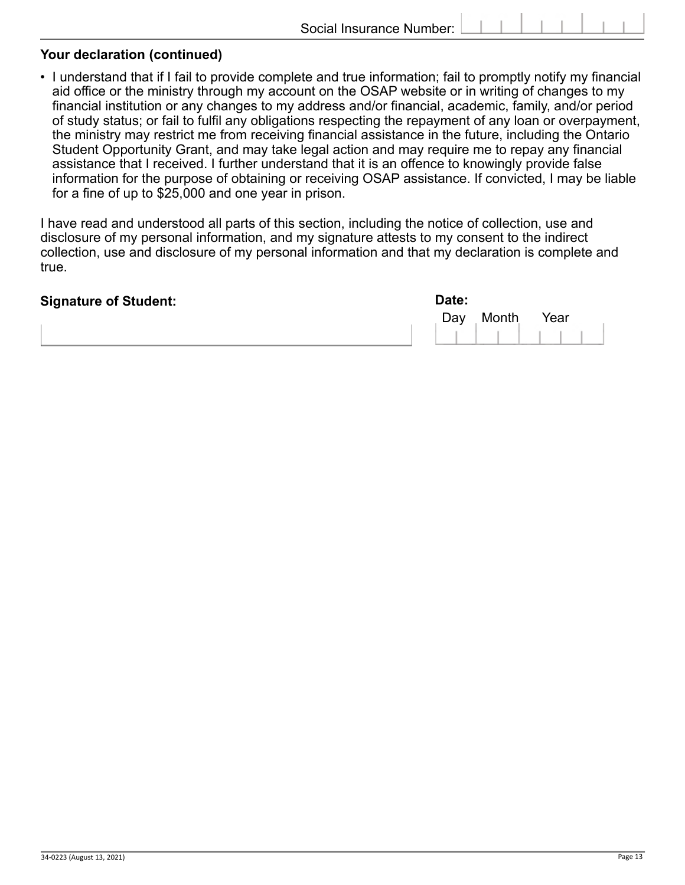#### **Your declaration (continued)**

• I understand that if I fail to provide complete and true information; fail to promptly notify my financial aid office or the ministry through my account on the OSAP website or in writing of changes to my financial institution or any changes to my address and/or financial, academic, family, and/or period of study status; or fail to fulfil any obligations respecting the repayment of any loan or overpayment, the ministry may restrict me from receiving financial assistance in the future, including the Ontario Student Opportunity Grant, and may take legal action and may require me to repay any financial assistance that I received. I further understand that it is an offence to knowingly provide false information for the purpose of obtaining or receiving OSAP assistance. If convicted, I may be liable for a fine of up to \$25,000 and one year in prison.

I have read and understood all parts of this section, including the notice of collection, use and disclosure of my personal information, and my signature attests to my consent to the indirect collection, use and disclosure of my personal information and that my declaration is complete and true.

| <b>Signature of Student:</b> | Date: |           |           |
|------------------------------|-------|-----------|-----------|
|                              |       | Day Month | Year      |
|                              |       |           | 111111111 |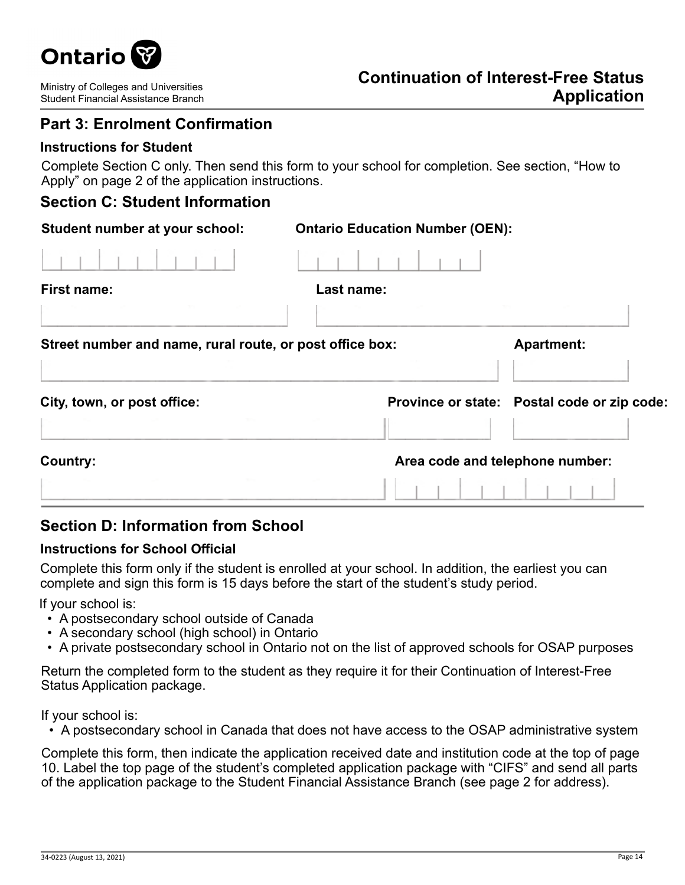

# **Part 3: Enrolment Confirmation**

### **Instructions for Student**

Complete Section C only. Then send this form to your school for completion. See section, "How to Apply" on page 2 of the application instructions.

## **Section C: Student Information**

| Student number at your school:                           | <b>Ontario Education Number (OEN):</b> |                                             |
|----------------------------------------------------------|----------------------------------------|---------------------------------------------|
|                                                          |                                        |                                             |
| First name:                                              | Last name:                             |                                             |
|                                                          |                                        |                                             |
| Street number and name, rural route, or post office box: |                                        | <b>Apartment:</b>                           |
| City, town, or post office:                              |                                        | Province or state: Postal code or zip code: |
| Country:                                                 | Area code and telephone number:        |                                             |
|                                                          |                                        |                                             |

## **Section D: Information from School**

#### **Instructions for School Official**

Complete this form only if the student is enrolled at your school. In addition, the earliest you can complete and sign this form is 15 days before the start of the student's study period.

If your school is:

- A postsecondary school outside of Canada
- A secondary school (high school) in Ontario
- A private postsecondary school in Ontario not on the list of approved schools for OSAP purposes

Return the completed form to the student as they require it for their Continuation of Interest-Free Status Application package.

If your school is:

• A postsecondary school in Canada that does not have access to the OSAP administrative system

Complete this form, then indicate the application received date and institution code at the top of page 10. Label the top page of the student's completed application package with "CIFS" and send all parts of the application package to the Student Financial Assistance Branch (see page 2 for address).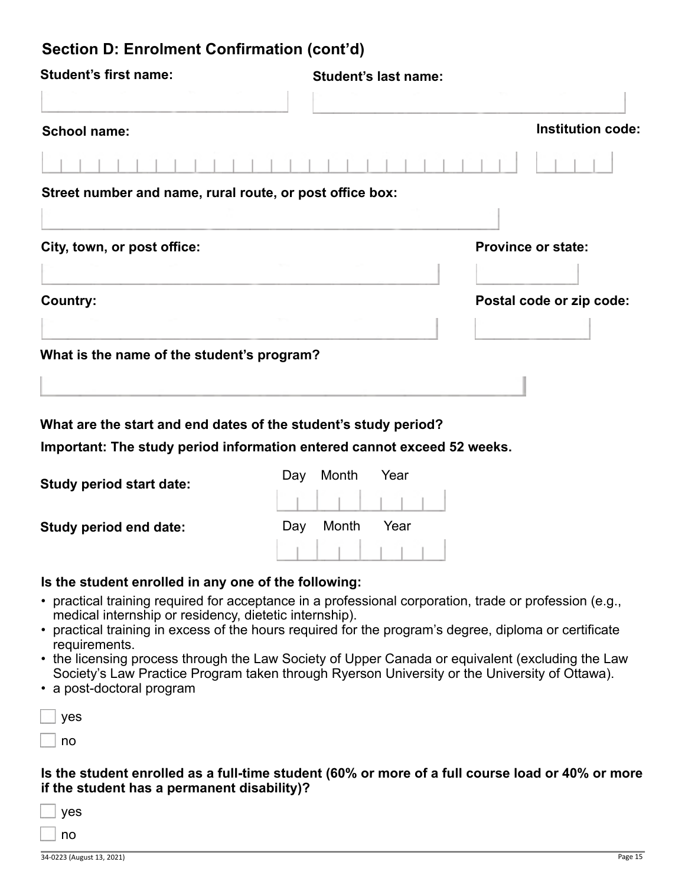# **Section D: Enrolment Confirmation (cont'd)**

| <b>Student's first name:</b>                                            | <b>Student's last name:</b> |                           |
|-------------------------------------------------------------------------|-----------------------------|---------------------------|
|                                                                         |                             |                           |
| <b>School name:</b>                                                     |                             | <b>Institution code:</b>  |
|                                                                         |                             |                           |
| Street number and name, rural route, or post office box:                |                             |                           |
|                                                                         |                             |                           |
| City, town, or post office:                                             |                             | <b>Province or state:</b> |
| <b>Country:</b>                                                         |                             | Postal code or zip code:  |
| What is the name of the student's program?                              |                             |                           |
| What are the start and end dates of the student's study period?         |                             |                           |
| Important: The study period information entered cannot exceed 52 weeks. |                             |                           |
| <b>Study period start date:</b>                                         | Month<br>Day<br>Year        |                           |

**Study period end date:**

| Day Month | Year |  |
|-----------|------|--|
|           |      |  |

#### **Is the student enrolled in any one of the following:**

- practical training required for acceptance in a professional corporation, trade or profession (e.g., medical internship or residency, dietetic internship).
- practical training in excess of the hours required for the program's degree, diploma or certificate requirements.
- the licensing process through the Law Society of Upper Canada or equivalent (excluding the Law Society's Law Practice Program taken through Ryerson University or the University of Ottawa).
- a post-doctoral program

| yes |
|-----|
| no  |

### **Is the student enrolled as a full-time student (60% or more of a full course load or 40% or more if the student has a permanent disability)?**

| yes |
|-----|
| no  |